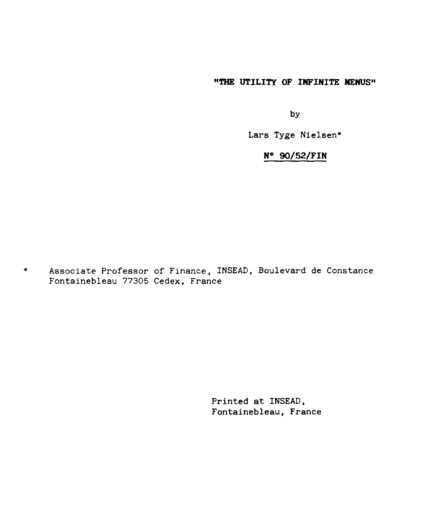#### **"THE UTILITY OF INFINITE MENUS"**

by

Lars Tyge Nielsen\*

#### N° **90/52/FIN**

Associate Professor of Finance, INSEAD, Boulevard de Constance  $\star$ Fontainebleau 77305 Cedex, France

> Printed at INSEAD, Fontainebleau, France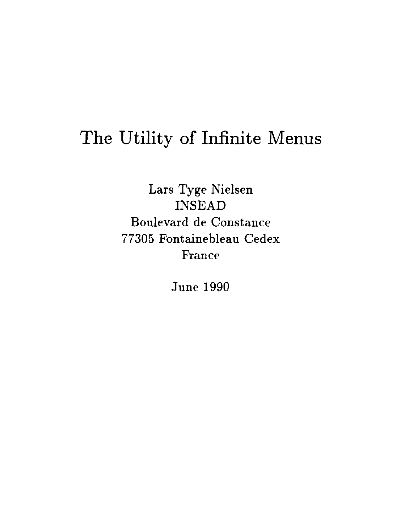# The Utility of Infinite Menus

Lars Tyge Nielsen INSEAD Boulevard de Constance 77305 Fontainebleau Cedex France

June 1990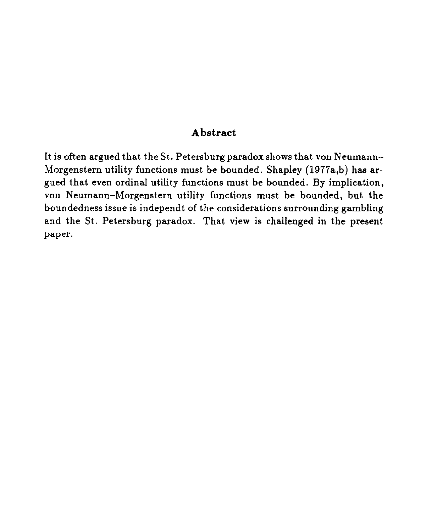#### **Abstract**

It is often argued that the St. Petersburg paradox shows that von Neumann— Morgenstern utility functions must be bounded. Shapley (1977a,b) has argued that even ordinal utility functions must be bounded. By implication, von Neumann—Morgenstern utility functions must be bounded, but the boundedness issue is independt of the considerations surrounding gambling and the St. Petersburg paradox. That view is challenged in the present paper.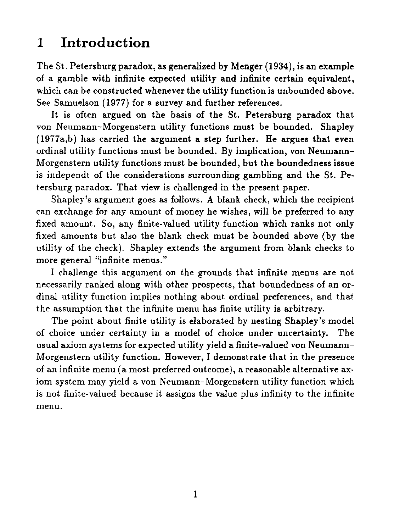# 1 Introduction

The St. Petersburg paradox, *as* generalized by Menger (1934), is an example of a gamble with infinite expected utility and infinite certain equivalent, which can be constructed whenever the utility function is unbounded above. See Samuelson (1977) for a survey and further references.

It is often argued on the basis of the St. Petersburg paradox that von Neumann-Morgenstern utility functions must be bounded. Shapley (1977a,b) has carried the argument a step further. He argues that even ordinal utility functions must be bounded. By implication, von Neumann-Morgenstern utility functions must be bounded, but the boundedness issue is independt of the considerations surrounding gambling and the St. Petersburg paradox. That view is challenged in the present paper.

Shapley's argument goes as follows. A blank check, which the recipient can exchange for any amount of money he wishes, will be preferred to any fixed amount. So, any finite-valued utility function which ranks not only fixed amounts but also the blank check must be bounded above (by the utility of the check). Shapley extends the argument from blank checks to more general "infinite menus."

I challenge this argument on the grounds that infinite menus are not necessarily ranked along with other prospects, that boundedness of an ordinal utility function implies nothing about ordinal preferences, and that the assumption that the infinite menu has finite utility is arbitrary.

The point about finite utility is elaborated by nesting Shapley's model of choice under certainty in *a* model of choice under uncertainty. The usual axiom systems for expected utility yield a finite-valued von Neumann-Morgenstern utility function. However, I demonstrate that in the presence of an infinite menu (a most preferred outcome), a reasonable alternative axiom system may yield a von Neumann-Morgenstern utility function which is not finite-valued because it assigns the value plus infinity to the infinite menu.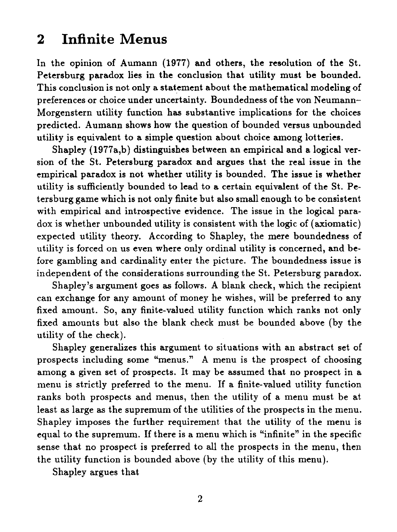## 2 Infinite Menus

In the opinion of Aumann (1977) and others, the resolution of the St. Petersburg paradox lies in the conclusion that utility must be bounded. This conclusion is not only *a* statement about the mathematical modeling of preferences or choice under uncertainty. Boundedness of the von Neumann-Morgenstern utility function has substantive implications for the choices predicted. Aumann shows how the question of bounded versus unbounded utility is equivalent to a simple question about choice among lotteries.

Shapley (1977a,b) distinguishes between an empirical and a logical version of the St. Petersburg paradox and argues that the real issue in the empirical paradox is not whether utility is bounded. The issue is whether utility is sufficiently bounded to lead to a certain equivalent of the St. Petersburg game which is not only finite but also small enough to be consistent with empirical and introspective evidence. The issue in the logical paradox is whether unbounded utility is consistent with the logic of (axiomatic) expected utility theory. According to Shapley, the mere boundedness of utility is forced on us even where only ordinal utility is concerned, and before gambling and cardinality enter the picture. The boundedness issue is independent of the considerations surrounding the St. Petersburg paradox.

Shapley's argument goes as follows. A blank check, which the recipient can exchange for any amount of money he wishes, will be preferred to any fixed amount. So, any finite-valued utility function which ranks not only fixed amounts but also the blank check must be bounded above (by the utility of the check).

Shapley generalizes this argument to situations with an abstract set of prospects including some "menus." A menu is the prospect of choosing among a given set of prospects. It may be assumed that no prospect in a menu is strictly preferred to the menu. If a finite-valued utility function ranks both prospects and menus, then the utility of a menu must be at least as large as the supremum of the utilities of the prospects in the menu. Shapley imposes the further requirement that the utility of the menu is equal to the supremum. If there is a menu which is "infinite" in the specific sense that no prospect is preferred to all the prospects in the menu, then the utility function is bounded above (by the utility of this menu).

Shapley argues that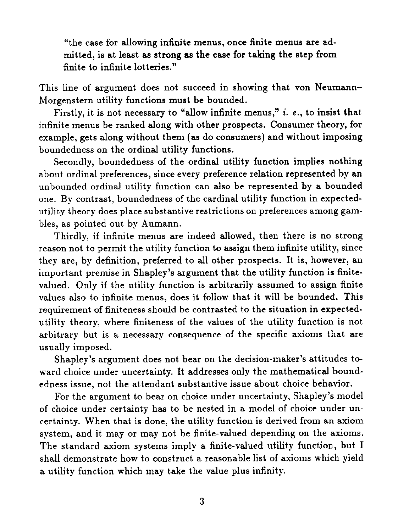"the case for allowing infinite menus, once finite menus are admitted, is at least as strong *as* the case for taking the step from finite to infinite lotteries."

This line of argument does not succeed in showing that von Neumann-Morgenstern utility functions must be bounded.

Firstly, it is not necessary to "allow infinite menus," i. *e.,* to insist that infinite menus be ranked along with other prospects. Consumer theory, for example, gets along without them (as do consumers) and without imposing boundedness on the ordinal utility functions.

Secondly, boundedness of the ordinal utility function implies nothing about ordinal preferences, since every preference relation represented by an unbounded ordinal utility function can also be represented by a bounded one. By contrast, boundedness of the cardinal utility function in expectedutility theory does place substantive restrictions on preferences among gambles, as pointed out by Aumann.

Thirdly, if infinite menus are indeed allowed, then there is no strong reason not to permit the utility function to assign them infinite utility, since they are, by definition, preferred to all other prospects. It is, however, an important premise in Shapley's argument that the utility function is finitevalued. Only if the utility function is arbitrarily assumed to assign finite values also to infinite menus, does it follow that it will be bounded. This requirement of finiteness should be contrasted to the situation in expectedutility theory, where finiteness of the values of the utility function is not arbitrary but is a necessary consequence of the specific axioms that are usually imposed.

Shapley's argument does not bear on the decision-maker's attitudes toward choice under uncertainty. It addresses only the mathematical boundedness issue, not the attendant substantive issue about choice behavior.

For the argument to bear on choice under uncertainty, Shapley's model of choice under certainty has to be nested in a model of choice under uncertainty. When that is done, the utility function is derived from an axiom system, and it may or may not be finite-valued depending on the axioms. The standard axiom systems imply a finite-valued utility function, but I shall demonstrate how to construct a reasonable list of axioms which yield a utility function which may take the value plus infinity.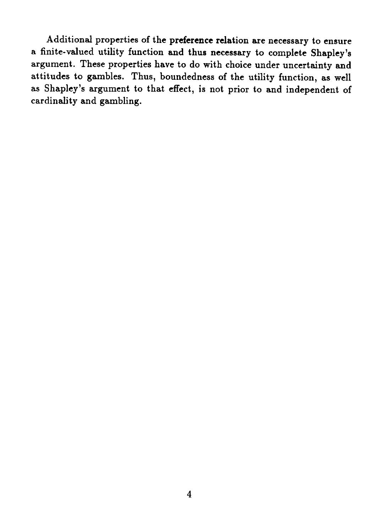Additional properties of the preference relation are necessary to ensure a finite-valued utility function and thus necessary to complete Shapley's argument. These properties have to do with choice under uncertainty and attitudes to gambles. Thus, boundedness of the utility function, as well as Shapley's argument to that effect, is not prior to and independent of cardinality and gambling.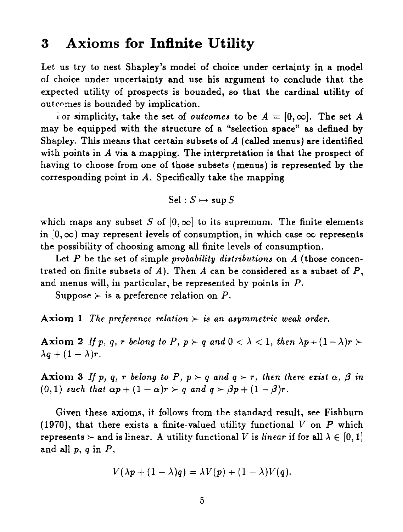#### 3 Axioms for Infinite Utility

Let us try to nest Shapley's model of choice under certainty in a model of choice under uncertainty and use his argument to conclude that the expected utility of prospects is bounded, so that the cardinal utility of outcomes is bounded by implication.

For simplicity, take the set of *outcomes* to be  $A = [0, \infty]$ . The set A may be equipped with the structure of a "selection space" as defined by Shapley. This means that certain subsets of  $A$  (called menus) are identified with points in A via a mapping. The interpretation is that the prospect of having to choose from one of those subsets (menus) is represented by the corresponding point in  $A$ . Specifically take the mapping

 $Sel : S \mapsto \sup S$ 

which maps any subset *S* of  $[0, \infty]$  to its supremum. The finite elements in  $[0, \infty)$  may represent levels of consumption, in which case  $\infty$  represents the possibility of choosing among all finite levels of consumption.

Let *P* be the set of simple *probability distributions* on A (those concentrated on finite subsets of *A).* Then A can be considered as a subset of *P,* and menus will, in particular, be represented by points in *P.*

Suppose  $\succ$  is a preference relation on *P*.

**Axiom 1** *The preference relation*  $\succ$  *is an asymmetric weak order.* 

**Axiom 2** *If p, q, r belong to P, p*  $\rho$  *and*  $0 < \lambda < 1$ *, then*  $\lambda p + (1 - \lambda)r$   $\rho$  $\lambda q + (1-\lambda)r$ .

**Axiom 3** *If p, q, r belong to P, p*  $\rho$  *<i>q and q*  $\rho$  *r, then there exist*  $\alpha$ *,*  $\beta$  *in*  $(0,1)$  *such that*  $\alpha p + (1 - \alpha)r > q$  *and*  $q > \beta p + (1 - \beta)r$ .

Given these axioms, it follows from the standard result, see Fishburn (1970), that there exists a finite-valued utility functional V on *P* which represents  $\succ$  and is linear. A utility functional V is *linear* if for all  $\lambda \in [0,1]$ and all *p, q* in *P,*

$$
V(\lambda p + (1 - \lambda)q) = \lambda V(p) + (1 - \lambda)V(q).
$$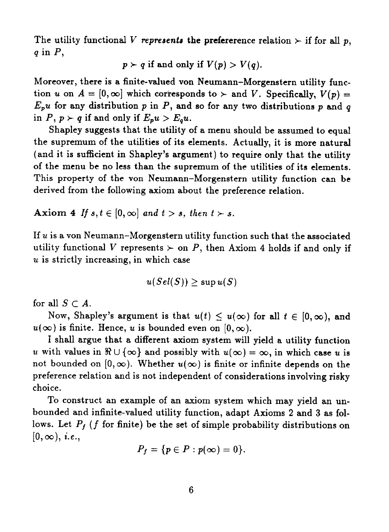The utility functional V *represents* the prefererence relation  $\succ$  if for all *p*, *q* in *P,*

$$
p \succ q
$$
 if and only if  $V(p) > V(q)$ .

Moreover, there is a finite-valued von Neumann—Morgenstern utility function u on  $A = [0, \infty]$  which corresponds to  $\succ$  and *V*. Specifically,  $V(p) =$  $E_p u$  for any distribution *p* in *P*, and so for any two distributions *p* and *q* in  $P, p \succ q$  if and only if  $E_p u > E_q u$ .

Shapley suggests that the utility of a menu should be assumed to equal the supremum of the utilities of its elements. Actually, it is more natural (and it is sufficient in Shapley's argument) to require only that the utility of the menu be no less than the supremum of the utilities of its elements. This property of the von Neumann—Morgenstern utility function can be derived from the following axiom about the preference relation.

Axiom 4 If  $s, t \in [0, \infty]$  and  $t > s$ , then  $t > s$ .

If  $u$  is a von Neumann-Morgenstern utility function such that the associated utility functional V represents  $\succ$  on P, then Axiom 4 holds if and only if u is strictly increasing, in which case

$$
u(Sel(S)) \geq \sup u(S)
$$

for all  $S \subset A$ .

Now, Shapley's argument is that  $u(t) \leq u(\infty)$  for all  $t \in [0, \infty)$ , and  $u(\infty)$  is finite. Hence, u is bounded even on  $[0, \infty)$ .

I shall argue that *a* different axiom system will yield a utility function u with values in  $\Re \cup \{\infty\}$  and possibly with  $u(\infty) = \infty$ , in which case u is not bounded on  $[0, \infty)$ . Whether  $u(\infty)$  is finite or infinite depends on the preference relation and is not independent of considerations involving risky choice.

To construct an example of an axiom system which may yield an unbounded and infinite-valued utility function, adapt Axioms 2 and 3 as follows. Let  $P_f$  (f for finite) be the set of simple probability distributions on  $[0, \infty)$ , *i.e.*,

$$
P_f = \{p \in P : p(\infty) = 0\}.
$$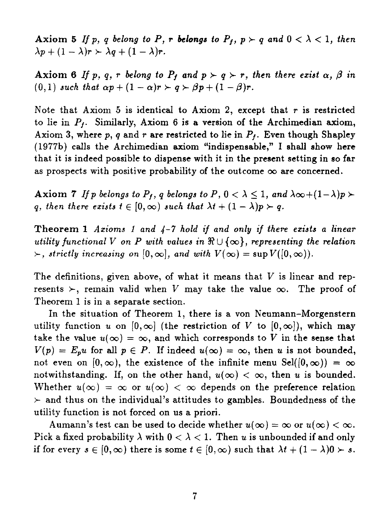Axiom 5 If p, q belong to P, r belongs to  $P_f$ ,  $p \succ q$  and  $0 < \lambda < 1$ , then  $\lambda p + (1 - \lambda)r > \lambda q + (1 - \lambda)r$ .

**Axiom 6** *If p, q, r belong to Pf and*  $p \succ q \succ r$ *, then there exist*  $\alpha$ *,*  $\beta$  *in*  $(0,1)$  such that  $\alpha p + (1 - \alpha)r > q > \beta p + (1 - \beta)r$ .

Note that Axiom 5 is identical to Axiom 2, except that  $r$  is restricted to lie in *P1 .* Similarly, Axiom 6 is a version of the Archimedian axiom, Axiom 3, where *p, q* and r are restricted to lie in *Pf.* Even though Shapley (1977b) calls the Archimedian axiom "indispensable," I shall show here that it is indeed possible to dispense with it in the present setting in so far as prospects with positive probability of the outcome  $\infty$  are concerned.

Axiom 7 If p belongs to  $P_f$ ,  $q$  belongs to  $P$ ,  $0 < \lambda \leq 1$ , and  $\lambda \infty + (1 - \lambda)p$ *q, then there exists*  $t \in [0, \infty)$  *such that*  $\lambda t + (1 - \lambda)p \succ q$ .

**Theorem 1** *Axioms 1 and 4-7 hold if and only if there exists a linear utility functional V on P with values in*  $\mathbb{R} \cup \{\infty\}$ , *representing the relation*  $\rangle$ , strictly increasing on  $[0, \infty]$ , and with  $V(\infty) = \sup V([0, \infty))$ .

The definitions, given above, of what it means that  $V$  is linear and represents  $\succ$ , remain valid when V may take the value  $\infty$ . The proof of Theorem 1 is in a separate section.

In the situation of Theorem 1, there is a von Neumann-Morgenstern utility function u on  $[0,\infty]$  (the restriction of V to  $[0,\infty]$ ), which may take the value  $u(\infty) = \infty$ , and which corresponds to V in the sense that  $V(p) = E_p u$  for all  $p \in P$ . If indeed  $u(\infty) = \infty$ , then u is not bounded, not even on  $[0, \infty)$ , the existence of the infinite menu Sel( $[0, \infty)$ ) =  $\infty$ notwithstanding. If, on the other hand,  $u(\infty) < \infty$ , then u is bounded. Whether  $u(\infty) = \infty$  or  $u(\infty) < \infty$  depends on the preference relation  $\ge$  and thus on the individual's attitudes to gambles. Boundedness of the utility function is not forced on us a priori.

Aumann's test can be used to decide whether  $u(\infty) = \infty$  or  $u(\infty) < \infty$ . Pick a fixed probability  $\lambda$  with  $0 < \lambda < 1$ . Then u is unbounded if and only if for every  $s \in [0, \infty)$  there is some  $t \in [0, \infty)$  such that  $\lambda t + (1 - \lambda)0 \succ s$ .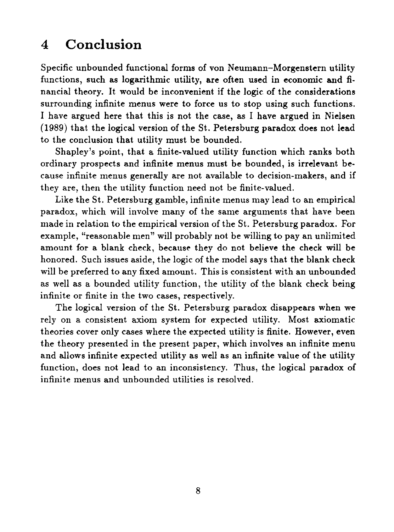# 4 Conclusion

Specific unbounded functional forms of von Neumann—Morgenstern utility functions, such as logarithmic utility, are often used in economic and financial theory. It would be inconvenient if the logic of the considerations surrounding infinite menus were to force us to stop using such functions. I have argued here that this is not the case, as I have argued in Nielsen (1989) that the logical version of the St. Petersburg paradox does not lead to the conclusion that utility must be bounded.

Shapley's point, that a finite-valued utility function which ranks both ordinary prospects and infinite menus must be bounded, is irrelevant because infinite menus generally are not available to decision-makers, and if they are, then the utility function need not be finite-valued.

Like the St. Petersburg gamble, infinite menus may lead to an empirical paradox, which will involve many of the same arguments that have been made in relation to the empirical version of the St. Petersburg paradox. For example, "reasonable men" will probably not be willing to pay an unlimited amount for a blank check, because they do not believe the check will be honored. Such issues aside, the logic of the model says that the blank check will be preferred to any fixed amount. This is consistent with an unbounded as well as a bounded utility function, the utility of the blank check being infinite or finite in the two cases, respectively.

The logical version of the St. Petersburg paradox disappears when we rely on a consistent axiom system for expected utility. Most axiomatic theories cover only cases where the expected utility is finite. However, even the theory presented in the present paper, which involves an infinite menu and allows infinite expected utility as well as an infinite value of the utility function, does not lead to an inconsistency. Thus, the logical paradox of infinite menus and unbounded utilities is resolved.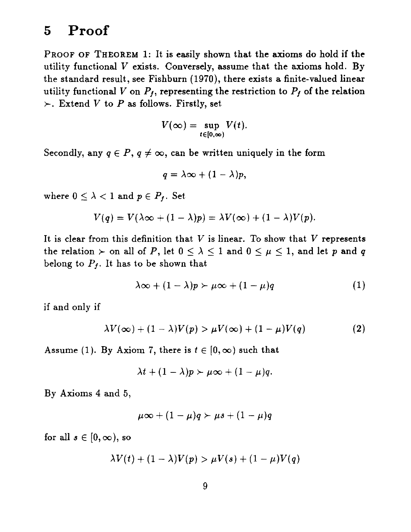## **5 Proof**

PROOF OF THEOREM 1: It is easily shown that the axioms do hold if the utility functional  $V$  exists. Conversely, assume that the axioms hold. By the standard result, see Fishburn (1970), there exists *a* finite-valued linear utility functional *V* on  $P_f$ , representing the restriction to  $P_f$  of the relation  $\succ$ . Extend V to P as follows. Firstly, set

$$
V(\infty) = \sup_{t \in [0,\infty)} V(t).
$$

Secondly, any  $q \in P$ ,  $q \neq \infty$ , can be written uniquely in the form

$$
q=\lambda\infty+(1-\lambda)p,
$$

where  $0 \leq \lambda < 1$  and  $p \in P_f$ . Set

$$
V(q) = V(\lambda \infty + (1 - \lambda)p) = \lambda V(\infty) + (1 - \lambda)V(p).
$$

It is clear from this definition that  $V$  is linear. To show that  $V$  represents the relation  $\succ$  on all of *P*, let  $0 \leq \lambda \leq 1$  and  $0 \leq \mu \leq 1$ , and let *p* and *q* belong to  $P_f$ . It has to be shown that

$$
\lambda \infty + (1 - \lambda)p \succ \mu \infty + (1 - \mu)q \tag{1}
$$

if and only if

$$
\lambda V(\infty) + (1 - \lambda)V(p) > \mu V(\infty) + (1 - \mu)V(q)
$$
 (2)

Assume (1). By Axiom 7, there is  $t \in [0, \infty)$  such that

$$
\lambda t+(1-\lambda)p\succ \mu\infty+(1-\mu)q.
$$

By Axioms 4 and 5,

$$
\mu\infty+(1-\mu)q\succ\mu s+(1-\mu)q
$$

for all  $s \in [0, \infty)$ , so

$$
\lambda V(t) + (1 - \lambda)V(p) > \mu V(s) + (1 - \mu)V(q)
$$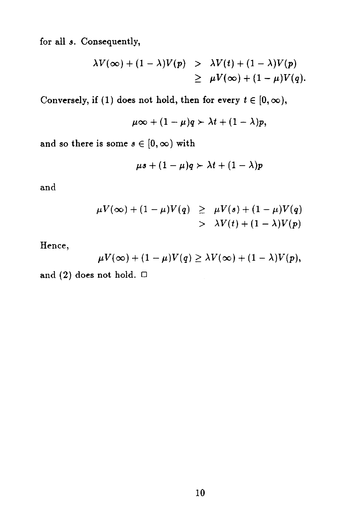for all *s.* Consequently,

$$
\lambda V(\infty) + (1 - \lambda)V(p) > \lambda V(t) + (1 - \lambda)V(p) \geq \mu V(\infty) + (1 - \mu)V(q).
$$

Conversely, if (1) does not hold, then for every  $t \in [0, \infty)$ ,

$$
\mu\infty+(1-\mu)q\succ\lambda t+(1-\lambda)p,
$$

and so there is some  $s \in [0, \infty)$  with

$$
\mu s + (1 - \mu)q \succ \lambda t + (1 - \lambda)p
$$

and

$$
\mu V(\infty) + (1 - \mu)V(q) \geq \mu V(s) + (1 - \mu)V(q) > \lambda V(t) + (1 - \lambda)V(p)
$$

Hence,

$$
\mu V(\infty) + (1 - \mu) V(q) \geq \lambda V(\infty) + (1 - \lambda) V(p),
$$

and (2) does not hold.  $\Box$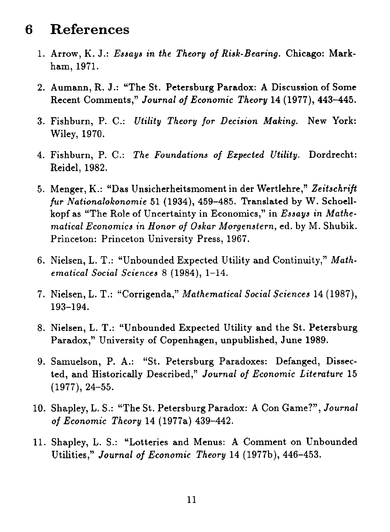#### **6 References**

- 1. Arrow, K. J.: *Essays in the Theory of Risk-Bearing.* Chicago: Markham, 1971.
- 2. Aumann, R. J.: "The St. Petersburg Paradox: A Discussion of Some Recent Comments," *Journal of Economic Theory* 14 (1977), 443-445.
- 3. Fishburn, P. C.: *Utility Theory for Decision Making.* New York: Wiley, 1970.
- 4. Fishburn, P. C.: *The Foundations of Expected Utility.* Dordrecht: Reidel, 1982.
- 5. Menger, K.: "Das Unsicherheitsmoment in der Wertlehre," *Zeitschrift fur Nationalokonomie* 51 (1934), 459-485. Translated by W. Schoellkopf as "The Role of Uncertainty in Economics," in *Essays in Mathematical Economics in Honor of Oskar Morgenstern,* ed. by M. Shubik. Princeton: Princeton University Press, 1967.
- 6. Nielsen, L. T.: "Unbounded Expected Utility and Continuity," *Mathematical Social Sciences* 8 (1984), 1-14.
- 7. Nielsen, L. T.: "Corrigenda," *Mathematical Social Sciences* 14 (1987), 193-194.
- 8. Nielsen, L. T.: "Unbounded Expected Utility and the St. Petersburg Paradox," University of Copenhagen, unpublished, June 1989.
- 9. Samuelson, P. A.: "St. Petersburg Paradoxes: Defanged, Dissected, and Historically Described," *Journal of Economic Literature* 15 (1977), 24-55.
- 10. Shapley, L. S.: "The St. Petersburg Paradox: A Con Game?", *Journal of Economic Theory* 14 (1977a) 439-442.
- 11. Shapley, L. S.: "Lotteries and Menus: A Comment on Unbounded Utilities," *Journal of Economic Theory* 14 (1977b), 446-453.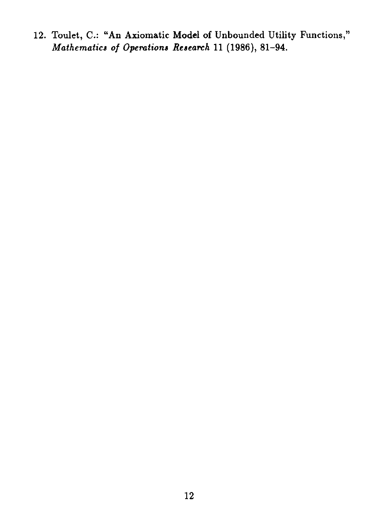12. Toulet, C.: "An Axiomatic Model of Unbounded Utility Functions," *Mathematics of Operations Research* 11 (1986), 81-94.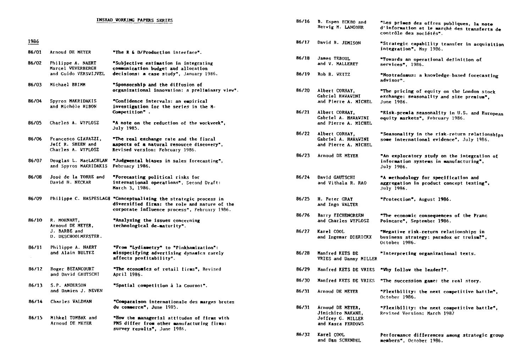#### 86/01 Arnoud DE MEYER 86/02 Philippe A. NAERT Marcel WEVERBERGH and Guido VERSWIJVEL 1986<br>86/01 Arnoud DE MEY<br>86/02 Philippe A. N<br>Marcel WEVERB<br>and Guido VER<br>86/03 Michael BRIMM 86/04 Spyros MAKRIDAKIS and Michele HIBON 86/03 Michael BRIMM<br>86/04 Spyros MAKRIDAKIS<br>and Michèle HIBON<br>86/05 Charles A. WYPLOSZ 86/06 Francesco GIAVAZZI, Jeff R. SHEEN and Charles A. WYPLOSZ 86/07 Douglas L. NacLACHLAN "Judgmental biases in sales forecasting", and Spyros MAKRIDAKIS February 1986. 86/08 Jose de la TORRE and David H. NECKAR 86/07 Douglas L. MacLACHLAN<br>and Spyros MAKRIDAKIS<br>86/08 José de la TORRE and<br>David H. NECKAR<br>86/09 Philippe C. HASPESLAGH 86/10 R. MOENART, Arnoud DE MEYER, J. BARBE and D. DESCHOOLMFESTER. 86/10 R. MOENART,<br>86/10 R. MOENART,<br>Arnoud DE MEYER,<br>J. BARBE and<br>D. DESCHOOLMFESTE<br>86/11 Philippe A. NAERT<br>and Alain BULTEZ and Alain BULTEZ 86/12 Roger BETANCOURT and David GAUTSCHI 86/11 Philippe A. N<br>
and Alain BUL<br>
86/12 Roger BETANCO<br>
and David GAU<br>
86/13 S.P. ANDERSON<br>
and Damien J. and Damien J. NEVEN "The R 6 D/Production interface". "Subjective estimation in integrating communication budget and allocation decisions: a case study", January 1986. "Sponsorship and the diffusion of organizational innovation: a preliminary view". "Confidence intervals: an empirical investigation for the series in the M-Competition" . "A note on the reduction of the vorkveek", July 1985. "The real exchange rate and the fiscal aspects of a natural resource discovery", Revised version: February 1986. "Forecasting political risks for international operations", Second Draft: March 3, 1986. Philippe C. HASPESLAGH "Conceptualizing the strategic process in diversified firms: the role and nature of the corporate influence process", February 1986. "Analysing the issues concerning technological de-maturity". "Prom "Lydiaaetry" to "Pinkhamizatiore: misspecifying advertising dynamics rarely affects profitability". "The economics of retail firms", Revised April 1986. "Spatial competition a la Cournot". INSEAD WORKING PAPERS SERIES 1986 "Comparaison Internationale des marges brutes du commerce", June 1985. "How the managerial attitudes of firms with ENS differ from other manufacturing firms: survey results", June 1986. 86/14 Charles VALDMAN 86/15 Mihkel TOMBAK and Arnoud DE MEYER

| 86/16 | B. Espen ECKBO and<br>Hervig M. LANGOHR                                         | "Les primes des offres publiques, la note<br>d'information et le marché des transferts de<br>contrôle des sociétés". |
|-------|---------------------------------------------------------------------------------|----------------------------------------------------------------------------------------------------------------------|
| 86/17 | David B. JEMISON                                                                | "Strategic capability transfer in acquisition<br>integration", May 1986.                                             |
| 86/18 | <b>James TEBOUL</b><br>and V. MALLERET                                          | "Towards an operational definition of<br>services", 1986.                                                            |
| 86/19 | Rob R. VEITZ                                                                    | "Nostradamus: a knovledge-based forecasting<br>advisor".                                                             |
| 86/20 | Albert CORHAY,<br>Gabriel HAWAWINI<br>and Pierre A. MICHEL                      | "The pricing of equity on the London stock<br>exchange: seasonality and size premium",<br><b>June 1986.</b>          |
| 86/21 | Albert CORHAY,<br>Gabriel A. HAVAWINI<br>and Pierre A. MICHEL                   | "Risk-premia seasonality in U.S. and European<br>equity markets", February 1986.                                     |
| 86/22 | Albert CORHAY,<br>Gabriel A. HAWAWINI<br>and Pierre A. MICHEL                   | "Seasonality in the risk-return relationships<br>some international evidence", July 1986.                            |
| 86/23 | Arnoud DE MEYER                                                                 | "An exploratory study on the integration of<br>information systems in manufacturing",<br>July 1986.                  |
| 86/24 | David GAUTSCHI<br>and Vithala R. RAO                                            | "A methodology for specification and<br>aggregation in product concept testing",<br>July 1986.                       |
| 86/25 | <b>H. Peter GRAY</b><br>and Ingo VALTER                                         | "Protection", August 1986.                                                                                           |
| 86/26 | Barry EICHENGREEN<br>and Charles WYPLOSZ                                        | "The economic consequences of the Franc<br>Poincare", September 1986.                                                |
| 86/27 | Karel COOL<br>and Ingemar DIERICKX                                              | "Negative risk-return relationships in<br>business strategy: paradox or truism?",<br>October 1986.                   |
| 86/28 | Manfred KETS DE<br>VRIES and Danny MILLER                                       | "Interpreting organizational texts.                                                                                  |
| 86/29 | Manfred KETS DE VRIES                                                           | "Vhy follow the leader?".                                                                                            |
| 86/30 | Manfred KETS DE VRIES                                                           | "The succession game: the real story.                                                                                |
| 86/31 | Arnoud DE MEYER                                                                 | "Plexibility: the next competitive battle",<br>October 1986.                                                         |
| 86/31 | Arnoud DE MEYER,<br>Jinichiro NAKANE,<br>Jeffrey G. MILLER<br>and Kasra FERDOWS | "Flexibility: the next competitive battle",<br>Revised Version: March 1987                                           |
| 86/32 | Karel COOL<br>and Dan SCHENDEL                                                  | Performance differences among strategic group<br>members", October 1986.                                             |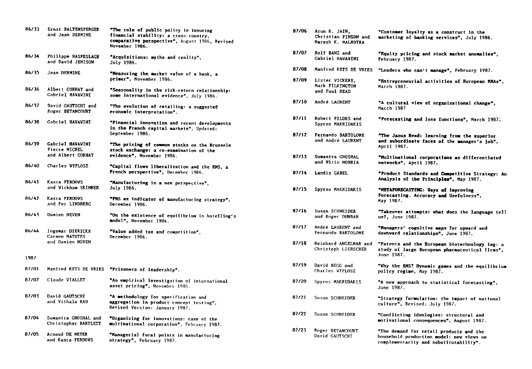| 86/33 | Ernst BALTENSPERGER<br>and Jean DERMINE                | "The role of public policy in insuring<br>financial stability: a cross-country,<br>comparative perspective", August 1986, Revised<br>November 1986. |
|-------|--------------------------------------------------------|-----------------------------------------------------------------------------------------------------------------------------------------------------|
| 86/34 | Philippe HASPESLAGH<br>and David JEMISON               | "Acquisitions: wyths and reality",<br>July 1986.                                                                                                    |
| 86/35 | Jean DERMINE                                           | "Measuring the market value of a bank, a<br>primer", November 1986.                                                                                 |
| 86/36 | Albert CORHAY and<br>Gabriel HAVAVINI                  | "Seasonality in the risk-return relationship:<br>some international evidence", July 1986.                                                           |
| 86/37 | David GAUTSCHI and<br>Roger BETANCOURT                 | "The evolution of retailing: a suggested<br>economic interpretation".                                                                               |
| 86/38 | Gabriel HAVAVINI                                       | "Pinancial innovation and recent developments<br>in the French capital markets", Updated:<br>September 1986.                                        |
| 86/39 | Gabriel HAVAVINI<br>Pierre MICHEL<br>and Albert CORHAY | "The pricing of common stocks on the Brussels<br>stock exchange: a re-examination of the<br>evidence", November 1986.                               |
| 86/40 | Charles WYPLOSZ                                        | "Capital flows liberalization and the RMS, a<br>French perspective", December 1986.                                                                 |
| 86/41 | Kasra FERDOVS<br>and Vickham SKINNER                   | "Manufacturing in a new perspective",<br>July 1986.                                                                                                 |
| 86/42 | Kasra FERDOVS<br>and Per LINDBERG                      | "PMS as indicator of manufacturing strategy",<br>December 1986.                                                                                     |
| 86/43 | Damien NEVEN                                           | "On the existence of equilibrium in hotelling's<br>model", November 1986.                                                                           |
| 86/44 | Ingemar DIERICKX<br>Carmen MATUTES<br>and Damien NEVEN | "Value added tax and competition",<br>December 1986.                                                                                                |
| 1987  |                                                        |                                                                                                                                                     |
| 87/01 | Manfred KETS DE VRIES                                  | "Prisoners of leadership".                                                                                                                          |
| 87/02 | Claude VIALLET                                         | "An empirical investigation of international<br>asset pricing", November 1986.                                                                      |
| 87/03 | David GAUTSCHI<br>and Vithala RAO                      | "A methodology for specification and<br>aggregation in product concept testing",<br>Revised Version: January 1987.                                  |
| 87/04 | Sumantra GHOSHAL and<br>Christopher BARTLETT           | "Organizing for innovations: case of the<br>multinational corporation", February 1987.                                                              |
| 87/05 | Arnoud DE MEYER<br>and Kasra FERDOWS                   | "Managerial focal points in manufacturing<br>strategy", February 1987.                                                                              |

| 87/06 | Arun K. JAIN,<br>Christian PINSON and<br>Naresh K. MALHOTRA | "Customer loyalty as a construct in the<br>marketing of banking services", July 1986.                                         |
|-------|-------------------------------------------------------------|-------------------------------------------------------------------------------------------------------------------------------|
| 87/07 | Rolf BANZ and<br>Gabriel HAVAVINI                           | "Equity pricing and stock market anomalies",<br>February 1987.                                                                |
| 87/08 | Manfred KETS DE VRIES                                       | "Leaders who can't manage", February 1987.                                                                                    |
| 87/09 | Lister VICKERY,<br>Mark PILKINGTON<br>and Paul READ         | "Bntrepreneurial activities of European MBAs",<br>March 1987.                                                                 |
| 87/10 | André LAURENT                                               | "A cultural view of organizational change",<br>March 1987                                                                     |
| 87/11 | Robert FILDES and<br>Spyros MAKRIDAKIS                      | "Porecasting and loss functions", March 1987.                                                                                 |
| 87/12 | Fernando BARTOLOME<br>and André LAURENT                     | "The Janus Bead: learning from the superior<br>and subordinate faces of the manager's job",<br>April 1987.                    |
| 87/13 | Sumantra GHOSHAL<br>and Nitin NOHRIA                        | "Multinational corporations as differentiated<br>networks", April 1987.                                                       |
| 87/14 | Landis GABEL                                                | "Product Standards and Competitive Strategy: An<br>Analysis of the Principles", May 1987.                                     |
| 87/15 | Spyros MAKRIDAKIS                                           | "METAFORECASTING: Vays of improving<br>Porecasting. Accuracy and Usefulness".<br>May 1987.                                    |
| 87/16 | Susan SCHNEIDER<br>and Roger DUNBAR                         | "Takeover attempts: what does the language tell<br>us7, June 1987.                                                            |
| 87/17 | André LAURENT and<br>Fernando BARTOLOME                     | "Managers' cognitive maps for upvard and<br>downward relationships", June 1987.                                               |
| 87/18 | Reinhard ANGELMAR and<br>Christoph LIEBSCHER                | "Patents and the European biotechnology lag: a<br>study of large European pharmaceutical firms",<br>June 1987.                |
| 87/19 | David BEGG and<br>Charles WYPLOSZ                           | "Why the EMS? Dynamic games and the equilibrium<br>policy regime, May 1987.                                                   |
| 87/20 | Spyros MAKRIDAKIS                                           | "A new approach to statistical forecasting",<br>June 1987.                                                                    |
| 87/21 | Susan SCHNEIDER                                             | "Strategy formulation: the impact of national<br>culture", Revised: July 1987.                                                |
| 87/22 | Susan SCHNEIDER                                             | "Conflicting ideologies: structural and<br>motivational consequences", August 1987.                                           |
| 87/23 | Roger BETANCOURT<br>David GAUTSCHI                          | "The demand for retail products and the<br>household production model: new views on<br>complementarity and substitutability". |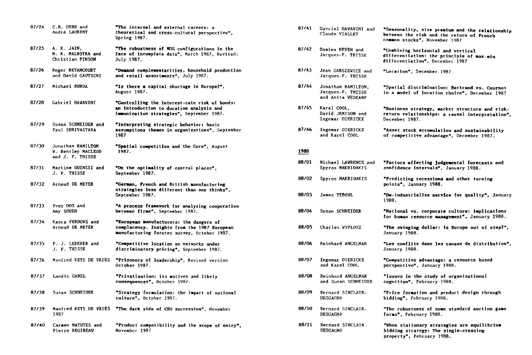| 87/24 | C.B. DERR and<br>André LAURENT                                     | "The internal and external careers: a<br>theoretical and cross-cultural perspective",<br>Spring 1987.                                  |
|-------|--------------------------------------------------------------------|----------------------------------------------------------------------------------------------------------------------------------------|
| 87/25 | A. K. JAIN,<br>N. K. MALHOTRA and<br>Christian PINSON              | "The robustness of MDS configurations in the<br>face of incomplete data", March 1987, Revised:<br>July 1987.                           |
| 87/26 | Roger BETANCOURT<br>and David CAUTSCHI                             | "Demand complementarities, household production<br>and retail assortments", July 1987.                                                 |
| 87/27 | Michael BURDA                                                      | "Is there a capital shortage in Europe?",<br>August 1987.                                                                              |
| 87/28 | Gabriel HAWAVINI                                                   | "Controlling the interest-rate risk of bonds:<br>an introduction to duration analysis and<br>immunization strategies", September 1987. |
| 87/29 | Susan SCHNEIDER and<br>Paul SHRIVASTAVA                            | "Interpreting strategic behavior: basic<br>assumptions themes in organizations", September<br>1987                                     |
| 87/30 | Jonathan HAMILTON<br><b>V. Bentley MACLEOD</b><br>and J. F. THISSE | "Spatial competition and the Core", August<br>1987.                                                                                    |
| 87/31 | Martine QUINZII and<br>J. F. THISSE                                | "On the optimality of central places",<br>September 1987.                                                                              |
| 87/32 | Arnoud DE MEYER                                                    | "German, French and British manufacturing<br>strategies less different than one thinks".<br>September 1987.                            |
| 87/33 | Yves DOZ and<br>Amy SHUEN                                          | "A process framework for analyzing cooperation<br>between firms", September 1987.                                                      |
| 87/34 | Kasra FERDOVS and<br>Arnoud DE MEYER                               | "European manufacturers: the dangers of<br>complacency. Insights from the 1987 European<br>manufacturing futures survey, October 1987. |
| 87/35 | P. J. LEDERER and<br>J. F. THISSE                                  | "Competitive location on netvorks under<br>discriminatory pricing", September 1987.                                                    |
| 87/36 | Manfred KETS DE VRIES                                              | "Prisoners of leadership", Revised version<br>October 1987.                                                                            |
| 87/37 | Landis GABEL                                                       | "Privatization: its motives and likely<br>consequences", October 1987.                                                                 |
| 87/38 | Susan SCHNEIDER                                                    | "Strategy formulation: the impact of national<br>culture", October 1987.                                                               |
| 87/39 | Manfred KETS DE VRIES<br>1987                                      | "The dark side of CEO succession", November                                                                                            |
| 87/40 | Carmen MATUTES and<br>Pierre REGIBEAU                              | "Product compatibility and the scope of entry",<br>November 1987                                                                       |
|       |                                                                    |                                                                                                                                        |

| 87/41 | Gavriel HAWAWINI and<br>Claude VIALLET                       | "Seasonality, size premium and the relationship<br>between the risk and the return of French<br>common stocks", November 1987 |
|-------|--------------------------------------------------------------|-------------------------------------------------------------------------------------------------------------------------------|
| 87/42 | Damien NEVEN and<br>Jacques-F. THISSE                        | "Combining horizontal and vertical<br>differentiation: the principle of max-min<br>differentiation", December 1987            |
| 87/43 | Jean GABSZEWICZ and<br>Jacques-F. THISSE                     | "Location", December 1987                                                                                                     |
| 87/44 | Jonathan HAMILTON,<br>Jacques-F. THISSE<br>and Anita VESKAMP | "Spatial discrimination: Bertrand vs. Cournot<br>in a model of location choice", December 1987                                |
| 87/45 | Karel COOL,<br>David JEMISON and<br>Ingemar DIERICKX         | "Business strategy, market structure and risk-<br>return relationships: a causal interpretation".<br>December 1987.           |
| 87/46 | Ingemar DIERICKX<br>and Karel COOL                           | "Asset stock accumulation and sustainability<br>of competitive advantage", December 1987.                                     |
| 1988  |                                                              |                                                                                                                               |
| 88/01 | Michael LAVRENCE and<br>Spyros MAKRIDAKIS                    | "Pactors affecting judgemental forecasts and<br>confidence intervals", January 1988.                                          |
| 88/02 | Spyros MAKRIDAKIS                                            | "Predicting recessions and other turning<br>points", January 1988.                                                            |
| 88/03 | James TEBOUL                                                 | "De-industrialize service for quality", January<br>1988.                                                                      |
| 88/04 | Susan SCHNEIDER                                              | "National vs. corporate culture: implications<br>for human resource management", January 1988.                                |
| 88/05 | Charles VYPLOSZ                                              | "The swinging dollar: is Europe out of step?",<br>January 1988.                                                               |
| 88/06 | Reinhard ANGELMAR                                            | "Les conflits dans les canaux de distribution",<br>January 1988.                                                              |
| 88/07 | Ingemar DIERICKX<br>and Karel COOL                           | "Competitive advantage: a resource based<br>perspective", January 1988.                                                       |
| 88/08 | Reinhard ANGELMAR<br>and Susan SCHNEIDER                     | "Issues in the study of organizational<br>cognition", February 1988.                                                          |
| 88/09 | Bernard SINCLAIR-<br>DESGAGNé                                | "Price formation and product design through<br>bidding". February 1988.                                                       |
| 88/10 | Bernard SINCLAIR-<br><b>DESGAGNé</b>                         | "The robustness of some standard auction game<br>forms", February 1988.                                                       |
| 88/11 | Bernard SINCLAIR-<br><b>DESGAGNé</b>                         | "When stationary strategies are equilibrium<br>bidding strategy: The single-crossing<br>property", February 1988.             |
|       |                                                              |                                                                                                                               |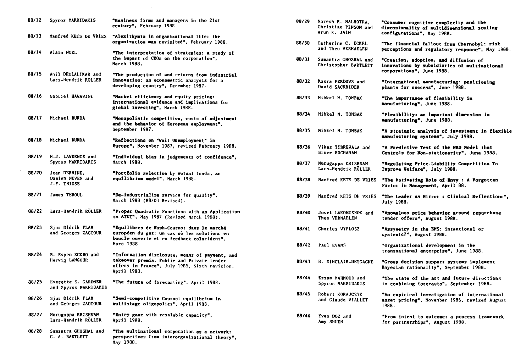| 88/12 | Spyros MAKRIDAKIS                                   | "Business firms and managers in the 21st<br>century", February 1988                                                                                          |
|-------|-----------------------------------------------------|--------------------------------------------------------------------------------------------------------------------------------------------------------------|
| 88/13 | Manfred KETS DE VRIES                               | "Alexithymia in organizational life: the<br>organization man revisited", February 1988.                                                                      |
| 88/14 | Alain NOEL                                          | "The interpretation of strategies: a study of<br>the impact of CEOs on the corporation",<br>March 1988.                                                      |
| 88/15 | Anil DEOLALIKAR and<br>Lars-Hendrik ROLLER          | "The production of and returns from industrial<br>innovation: an econometric analysis for a<br>developing country", December 1987.                           |
| 88/16 | <b>Gabriel HAVAVINI</b>                             | "Market efficiency and equity pricing:<br>international evidence and implications for<br>global investing", March 1988.                                      |
| 88/17 | Michael BURDA                                       | "Monopolistic competition, costs of adjustment<br>and the behavior of European employment",<br>September 1987.                                               |
| 88/18 | Michael BURDA                                       | "Reflections on "Vait Unemployment" in<br>Europe", November 1987, revised February 1988.                                                                     |
| 88/19 | H.J. LAVRENCE and<br>Spyros MAKRIDAKIS              | "Individual bias in judgements of confidence",<br>March 1988.                                                                                                |
| 88/20 | Jean DERMINE.<br>Damien NEVEN and<br>J.F. THISSE    | "Portfolio selection by mutual funds, an<br>equilibrium model", March 1988.                                                                                  |
| 88/21 | James TEBOUL                                        | "De-industrialize service for quality",<br>March 1988 (88/03 Revised).                                                                                       |
| 88/22 | Lars-Hendrik RÖLLER                                 | "Proper Quadratic Punctions with an Application<br>to AT&T", May 1987 (Revised March 1988).                                                                  |
| 88/23 | Sjur Didrik FLAM<br>and Georges ZACCOUR             | "Equilibres de Nash-Cournot dans le marché<br>européen du gaz: un cas où les solutions en<br>boucle ouverte et en feedback coincident",<br>Mars 1988         |
| 88/24 | B. Espen ECKBO and<br>Herwig LANGOHR                | "Information disclosure, means of payment, and<br>takeover premia. Public and Private tender<br>offers in France", July 1985, Sixth revision,<br>April 1988. |
| 88/25 | <b>Everette S. GARDNER</b><br>and Spyros MAKRIDAKIS | "The future of forecasting", April 1988.                                                                                                                     |
| 88/26 | Sjur Didrik FLAM<br>and Georges ZACCOUR             | "Semi-competitive Cournot equilibrium in<br>multistage oligopolies", April 1988.                                                                             |
| 88/27 | Murugappa KRISHNAN<br>Lars-Hendrik RÖLLER           | "Entry game with resalable capacity",<br>April 1988.                                                                                                         |
| 88/28 | Sumantra GHOSHAL and<br>C. A. BARTLETT              | "The multinational corporation as a network:<br>perspectives from interorganizational theory",<br>Nay 1988.                                                  |

| 88/29 | Naresh K. MALHOTRA.<br>Christian PINSON and<br>Arun K. JAIN | "Consumer cognitive complexity and the<br>dimensionality of multidimensional scaling<br>configurations", May 1988. |
|-------|-------------------------------------------------------------|--------------------------------------------------------------------------------------------------------------------|
| 88/30 | Catherine C. ECKEL<br>and Theo VERMAELEN                    | "The financial fallout from Chernobyl: risk<br>perceptions and regulatory response", May 1988.                     |
| 88/31 | Sumantra GHOSHAL and<br>Christopher BARTLETT                | "Creation, adoption, and diffusion of<br>innovations by subsidiaries of multinational<br>corporations", June 1988. |
| 88/32 | Kasra FERDOVS and<br>David SACKRIDER                        | "International manufacturing: positioning<br>plants for success", June 1988.                                       |
| 88/33 | Mihkel M. TOMBAK                                            | "The importance of flexibility in<br>manufacturing", June 1988.                                                    |
| 88/34 | Mihkel M. TOMBAK                                            | "Flexibility: an important dimension in<br>manufacturing", June 1988.                                              |
| 88/35 | Mihkel M. TOMBAK                                            | "A strategic analysis of investment in flexible<br>manufacturing systems", July 1988.                              |
| 88/36 | Vikas TIBREVALA and<br><b>Bruce BUCHANAN</b>                | "A Predictive Test of the NBD Model that<br>Controls for Non-stationarity", June 1988.                             |
| 88/37 | Murugappa KRISHNAN<br>Lars-Hendrik RÖLLER                   | "Regulating Price-Liability Competition To<br>Improve Velfare", July 1988.                                         |
| 88/38 | Manfred KETS DE VRIES                                       | "The Motivating Role of Envy : A Forgotten<br>Factor in Management, April 88.                                      |
| 88/39 | Manfred KETS DE VRIES                                       | "The Leader as Mirror : Clinical Reflections",<br><b>July 1988.</b>                                                |
| 88/40 | Josef LAKONISHOK and<br>Theo VERMAELEN                      | "Anomalous price behavior around repurchase<br>tender offers", August 1988.                                        |
| 88/41 | <b>Charles WYPLOSZ</b>                                      | "Assymetry in the RMS: intentional or<br>systemic?", August 1988.                                                  |
| 88/42 | Paul EVANS                                                  | "Organizational development in the<br>transnational enterprise", June 1988.                                        |
| 88/43 | <b>B. SINCLAIR-DESGACNE</b>                                 | "Group decision support systems implement<br>Bayesian rationality", September 1988.                                |
| 88/44 | Essam MAHMOUD and<br>Spyros MAKRIDAKIS                      | "The state of the art and future directions<br>in combining forecasts", September 1988.                            |
| 88/45 | Robert KORAJCZYK<br>and Claude VIALLET                      | "An empirical investigation of international<br>asset pricing", November 1986, revised August<br>1988.             |
| 88746 | Yves DOZ and<br>Amy SHUEN                                   | "Prom intent to outcome: a process framework<br>for partnerships", August 1988.                                    |
|       |                                                             |                                                                                                                    |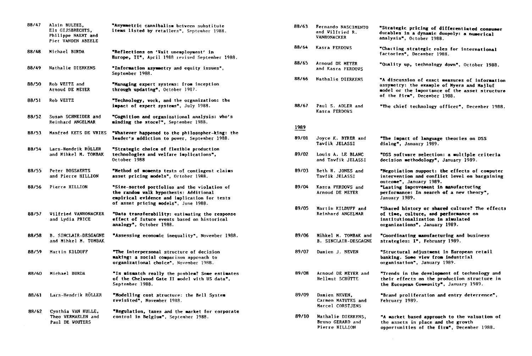| 88/47        | Alain BULTEZ,<br>Els GIJSBRECHTS.<br>Philippe NAERT and<br>Piet VANDEN ABEELE | "Asymmetric cannibalism between substitute<br>items listed by retailers", September 1988.                                                                                      |
|--------------|-------------------------------------------------------------------------------|--------------------------------------------------------------------------------------------------------------------------------------------------------------------------------|
| 88748        | Michael BURDA                                                                 | "Reflections on 'Vait unemployment' in<br>Burope. II", April 1988 revised September 1988.                                                                                      |
| 88/49        | Nathalie DIERKENS                                                             | "Information asymmetry and equity issues",<br>September 1988.                                                                                                                  |
| 88/50        | Rob VEITZ and<br>Arnoud DE MEYER                                              | "Managing expert systems: from inception<br>through updating", October 1987.                                                                                                   |
| 88/51        | Rob VEITZ                                                                     | "Technology, vork, and the organization: the<br>impact of expert systems", July 1988.                                                                                          |
| 88/52        | Susan SCHNEIDER and<br>Reinhard ANGELMAR                                      | "Cognition and organizational analysis: vho's<br>minding the store?", September 1988.                                                                                          |
| 88/53        | Manfred KETS DE VRIES                                                         | "Whatever happened to the philosopher-king: the<br>leader's addiction to pover, September 1988.                                                                                |
| <b>88/54</b> | Lars-Hendrik RÖLLER<br>and Mihkel M. TOMBAK                                   | "Strategic choice of flexible production<br>technologies and velfare implications",<br>October 1988                                                                            |
| 88/55        | Peter BOSSAERTS<br>and Pierre HILLION                                         | "Method of moments tests of contingent claims<br>asset pricing models", October 1988.                                                                                          |
| 88/56        | Pierre HILLION                                                                | "Size-sorted portfolios and the violation of<br>the random walk hypothesis: Additional<br>empirical evidence and implication for tests<br>of asset pricing models", June 1988. |
| 88/57        | Vilfried VANHONACKER<br>and Lydia PRICE                                       | "Data transferability: estimating the response<br>effect of future events based on historical<br>analogy", October 1988.                                                       |
| 88/58        | <b>B. SINCLAIR-DESGAGNE</b><br>and Mihkel M. TOMBAK                           | "Assessing economic inequality", November 1988.                                                                                                                                |
| 88/59        | Martin KILDUFF                                                                | "The interpersonal structure of decision<br>making: a social comparison approach to<br>organizational choice", November 1988.                                                  |
| 88760        | Michael BURDA                                                                 | "Is mismatch really the problem? Some estimates<br>of the Chelwood Gate II model with US data".<br>September 1988.                                                             |
| 88/61        | Lars-Hendrik RÖLLER                                                           | "Modelling cost structure: the Bell System<br>revisited", November 1988.                                                                                                       |
| 88/62        | Cynthia VAN HULLE,<br>Theo VERMAELEN and<br>Paul DE VOUTERS                   | "Regulation, taxes and the market for corporate<br>control in Belgium", September 1988.                                                                                        |
|              |                                                                               |                                                                                                                                                                                |

| 88/63 | Fernando NASCIMENTO<br>and Vilfried R.<br>VANBONACKER    | "Strategic pricing of differentiated consumer<br>durables in a dynamic duopoly: a numerical<br>analysis", October 1988.                                                        |
|-------|----------------------------------------------------------|--------------------------------------------------------------------------------------------------------------------------------------------------------------------------------|
| 88/64 | Kasra FERDOVS                                            | "Charting strategic roles for international<br>factories", December 1988.                                                                                                      |
| 88/65 | Arnoud DE MEYER<br>and Kasra FERDOVS                     | "Quality up, technology down", October 1988.                                                                                                                                   |
| 88/66 | Nathalie DIERKENS                                        | "A discussion of exact measures of information<br>assymetry: the example of Myers and Majluf<br>model or the importance of the asset structure<br>of the firm", December 1988. |
| 88/67 | Paul S. ADLER and<br>Kasra FERDOVS                       | "The chief technology officer", December 1988.                                                                                                                                 |
| 1989  |                                                          |                                                                                                                                                                                |
| 89/01 | Joyce K. BYRER and<br>Tavfik JELASSI                     | "The impact of language theories on DSS<br>dialog", January 1989.                                                                                                              |
| 89/02 | Louis A. LE BLANC<br>and Tawfik JELASSI                  | "DSS software selection: a multiple criteria<br>decision methodology", January 1989.                                                                                           |
| 89/03 | Beth H. JONES and<br>Tavfik JELASSI                      | "Negotiation support: the effects of computer<br>intervention and conflict level on bargaining<br>outcome", January 1989.                                                      |
| 89/04 | Kasra FERDOVS and<br>Arnoud DE MEYER                     | "Lasting improvement in manufacturing<br>performance: In search of a new theory",<br>January 1989.                                                                             |
| 89/05 | Martin KILDUFF and<br>Reinhard ANGELMAR                  | "Shared history or shared culture? The effects<br>of time, culture, and performance on<br>institutionalization in simulated<br>organizations", January 1989.                   |
| 89/06 | Mihkel M. TOMBAK and<br><b>B. SINCLAIR-DESGAGNE</b>      | "Coordinating manufacturing and business<br>strategies: I", February 1989.                                                                                                     |
| 89/07 | Damien J. NEVEN                                          | "Structural adjustment in European retail<br>banking. Some view from industrial<br>organisation", January 1989.                                                                |
| 89/08 | Arnoud DE MEYER and<br>Hellmut SCHÜTTE                   | "Trends in the development of technology and<br>their effects on the production structure in<br>the European Community", January 1989.                                         |
| 89/09 | Damien NEVEN,<br>Carmen MATUTES and<br>Marcel CORSTJENS  | "Brand proliferation and entry deterrence",<br>February 1989.                                                                                                                  |
| 89/10 | Nathalie DIERKENS,<br>Bruno GERARD and<br>Pierre HILLION | "A market based approach to the valuation of<br>the assets in place and the growth<br>opportunities of the firm", December 1988.                                               |
|       |                                                          |                                                                                                                                                                                |

 $\mathcal{L}^{\text{max}}_{\text{max}}$  and  $\mathcal{L}^{\text{max}}_{\text{max}}$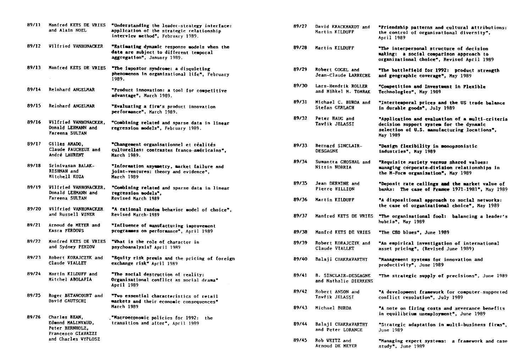| 89/11 | Manfred KETS DE VRIES<br>and Alain NOEL                                                            | "Understanding the leader-strategy interface:<br>application of the strategic relationship<br>interview method", February 1989. |
|-------|----------------------------------------------------------------------------------------------------|---------------------------------------------------------------------------------------------------------------------------------|
| 89/12 | <b>Vilfried VANHONACKER</b>                                                                        | "Estimating dynamic response models when the<br>data are subject to different temporal<br>aggregation", January 1989.           |
| 89/13 | Manfred KETS DE VRIES                                                                              | "The impostor syndrome: a disquieting<br>phenomenon in organizational life", February<br>1989.                                  |
| 89/14 | Reinhard ANGELMAR                                                                                  | "Product innovation: a tool for competitive<br>advantage", March 1989.                                                          |
| 89/15 | Reinhard ANGELMAR                                                                                  | "Evaluating a firm's product innovation<br>performance", March 1989.                                                            |
| 89/16 | <b>Vilfried VANHONACKER,</b><br>Donald LEHMANN and<br>Fareena SULTAN                               | "Combining related and sparse data in linear<br>regression models", February 1989.                                              |
| 89/17 | Gilles AMADO,<br>Claude FAUCHEUX and<br>André LAURENT                                              | "Changement organisationnel et réalités<br>culturelles: contrastes franco-américains",<br>March 1989.                           |
| 89/18 | Srinivasan BALAK-<br>RISHNAN and<br>Mitchell KOZA                                                  | "Information asymmetry, market failure and<br>joint-ventures: theory and evidence",<br>March 1989                               |
| 89/19 | Vilfried VANHONACKER,<br>Donald LEHMANN and<br>Fareena SULTAN                                      | "Combining related and sparse data in linear<br>regression wodels".<br><b>Revised March 1989</b>                                |
| 89/20 | <b>Vilfried VANHONACKER</b><br>and Russell WINER                                                   | "A rational random behavior model of choice",<br>Revised March 1989                                                             |
| 89/21 | Arnoud de MEYER and<br>Kasra FERDOVS                                                               | "Influence of manufacturing improvement<br>programmes on performance", April 1989                                               |
| 89/22 | Manfred KETS DE VRIES<br>and Sydney PERZOV                                                         | "What is the role of character in<br>psychoanalysis? April 1989                                                                 |
| 89/23 | Robert KORAJCZYK and<br><b>Claude VIALLET</b>                                                      | "Equity risk premia and the pricing of foreign<br>exchange risk" April 1989                                                     |
| 89/24 | Martin KILDUFF and<br>Mitchel ABOLAFIA                                                             | "The social destruction of reality:<br>Organisational conflict as social drama"<br>Аргіl 1989                                   |
| 89/25 | Roger BETANCOURT and<br>David GAUTSCHI                                                             | "Two essential characteristics of retail<br>markets and their economic consequences"<br>March 1989                              |
| 89/26 | Charles BEAN.<br>Edwond MALINVAUD,<br>Peter BERNHOLZ,<br>Francesco GIAVAZZI<br>and Charles VYPLOSZ | Macroeconomic policies for 1992:<br>the.<br>transition and after", April 1989                                                   |

| 89/27 | David KRACKHARDT and<br>Martin KILDUFF               | "Priendship patterns and cultural attributions:<br>the control of organizational diversity",<br>April 1989                                            |
|-------|------------------------------------------------------|-------------------------------------------------------------------------------------------------------------------------------------------------------|
| 89/28 | Martin KILDUFF                                       | "The interpersonal structure of decision<br>making: a social comparison approach to<br>organizational choice", Revised April 1989                     |
| 89/29 | Robert GOGEL and<br>Jean-Claude LARRECHE             | "The battlefield for 1992: product strength<br>and geographic coverage", May 1989                                                                     |
| 89/30 | Lars-Hendrik ROLLER<br>and Mihkel M. TOMBAK          | "Competition and Investment in Plexible<br>Technologies", May 1989                                                                                    |
| 89/31 | Michael C. BURDA and<br>Stefan GERLACH               | "Intertemporal prices and the US trade balance<br>in durable goods", July 1989                                                                        |
| 89/32 | Peter HAUG and<br>Tawfik JELASSI                     | "Application and evaluation of a multi-criteria<br>decision support system for the dynamic<br>selection of U.S. manufacturing locations",<br>May 1989 |
| 89/33 | Bernard SINCLAIR-<br><b>DESGAGNE</b>                 | "Design flexibility in monopsonistic<br>industries", May 1989                                                                                         |
| 89/34 | Sumantra GHOSHAL and<br>Nittin NOHRIA                | "Requisite variety versus shared values:<br>managing corporate-division relationships in<br>the M-Porm organisation", May 1989                        |
| 89/35 | Jean DERMINE and<br>Pierre HILLION                   | "Deposit rate ceilings and the market value of<br>banks: The case of France $1971-1981$ , May 1989                                                    |
| 89/36 | Martin KILDUFF                                       | "A dispositional approach to social networks:<br>the case of organizational choice", May 1989                                                         |
| 89/37 | <b>Manfred KETS DE VRIES</b>                         | "The organisational fool: balancing a leader's<br>hubris", Hay 1989                                                                                   |
| 89/38 | Manfrd KETS DE VRIES                                 | "The CBO blues". June 1989                                                                                                                            |
| 89/39 | Robert KORAJCZYK and<br>Claude VIALLET               | "An empirical investigation of international<br>asset pricing", (Revised June 1989)                                                                   |
| 89/40 | <b>Balaji CHAKRAVARTHY</b>                           | "Management systems for innovation and<br>productivity", June 1989                                                                                    |
| 89/41 | <b>B. SINCLAIR-DESGAGNE</b><br>and Nathalie DIERKENS | "The strategic supply of precisions", June 1989                                                                                                       |
| 89/42 | Robert ANSON and<br>Tawfik JELASSI                   | "A development framework for computer-supported<br>conflict resolution", July 1989                                                                    |
| 89/43 | Michael BURDA                                        | "A note on firing costs and severance benefits<br>in equilibrium unemployment", June 1989                                                             |
| 89/44 | Balaji CHAKRAVARTHY<br>and Peter LORANGE             | "Strategic adaptation in multi-business firms",<br>June 1989                                                                                          |
| 89/45 | Rob VEITZ and<br>Arnoud DE MEYER                     | "Managing expert systems:<br>a framework and case<br>study", June 1989                                                                                |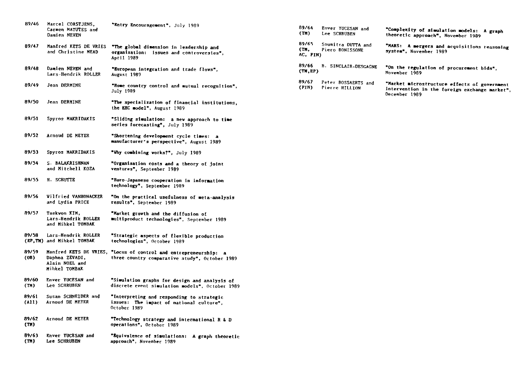| 89/46                      | Marcel CORSTJENS,<br>Carmen MATUTES and<br>Damien NEVEN  | "Entry Encouragement", July 1989                                                                                                   |
|----------------------------|----------------------------------------------------------|------------------------------------------------------------------------------------------------------------------------------------|
| 89/47                      | Manfred KETS DE VRIES<br>and Christine MEAD              | "The global dimension in leadership and<br>organization:<br>issues and controversies".<br>April 1989                               |
| 89/48                      | Damien NEVEN and<br>Lars-Hendrik ROLLER                  | "Buropean integration and trade flows",<br><b>August 1989</b>                                                                      |
| 89/49                      | Jean DERMINE                                             | "Home country control and mutual recognition",<br><b>July 1989</b>                                                                 |
| 89/50                      | Jean DERMINE                                             | "The specialization of financial institutions,<br>the EEC model", August 1989                                                      |
| 89/51                      | Spyros MAKRIDAKIS                                        | "Sliding simulation: a new approach to time<br>series forecasting", July 1989                                                      |
| 89/52                      | Arnoud DE MEYER                                          | "Shortening development cycle times:<br>manufacturer's perspective", August 1989                                                   |
| 89/53                      | Spyros MAKRIDAKIS                                        | "Why combining works?", July 1989                                                                                                  |
| 89/54                      | S. BALAKRISHNAN<br>and Mitchell KOZA                     | "Organisation costs and a theory of joint<br>ventures", September 1989                                                             |
| 89/55                      | H. SCHUTTE                                               | "Buro-Japanese cooperation in information<br>technology", September 1989                                                           |
| 89/56                      | Vilfried VANHONACKER<br>and Lydia PRICE                  | "On the practical usefulness of meta-analysis<br>results", September 1989                                                          |
| 89/57                      | Taekvon KIM.<br>Lars-Hendrik ROLLER<br>and Mihkel TOMBAK | <b>"Market growth and the diffusion of</b><br>multiproduct technologies", September 1989                                           |
| 89/58                      | Lars-Hendrik ROLLER<br>(RP, TM) and Mihkel TOMBAK        | "Strategic aspects of flexible production<br>technologies", October 1989                                                           |
| 89/59<br>(08)              | Daphna ZEVADI,<br>Alain NOEL and<br>Mihkel TOMBAK        | Manfred KETS DE VRIES, "Locus of control and entrepreneurship:<br>$\overline{a}$<br>three-country comparative study", October 1989 |
| 89/60<br>(TM)              | Enver YUCESAN and<br>Lee SCHRUBEN                        | "Simulation graphs for design and analysis of<br>discrete event simulation models", October 1989                                   |
| 89/61<br>(M <sub>1</sub> ) | Susan SCHNEIDER and<br>Arnoud DE MEYER                   | "Interpreting and responding to strategic<br>issues:<br>The impact of national culture".<br>October 1989                           |
| 89/62<br>(TH)              | Arnoud DE MEYER                                          | "Technology strategy and international R & D<br>operations", October 1989                                                          |
| 89/63<br>(TN)              | Enver YUCESAN and<br>Lee SCHRUBEN                        | "Bquivalence of simulations:<br>A graph theoretic<br>approach", November 1989                                                      |
|                            |                                                          |                                                                                                                                    |

| 89/64<br>(T <sub>H</sub> ) | Enver YUCESAN and<br>Lee SCHRUBEN     | "Complexity of simulation models:<br>A graph<br>theoretic approach", November 1989                             |
|----------------------------|---------------------------------------|----------------------------------------------------------------------------------------------------------------|
| 89/65<br>(ТН.<br>AC, PIN)  | Soumitra DUTTA and<br>Piero BONISSONE | "MARS:<br>A mergers and acquisitions reasoning<br>system", November 1989                                       |
| 89/66<br>(TN, EP)          | <b>B. SINCLAIR-DESGAGNE</b>           | "On the regulation of procurement bids",<br>November 1989                                                      |
| 89/67<br>(FIN)             | Peter BOSSAERTS and<br>Pierre HILLION | "Market microstructure effects of government<br>intervention in the foreign exchange market",<br>December 1989 |
|                            |                                       |                                                                                                                |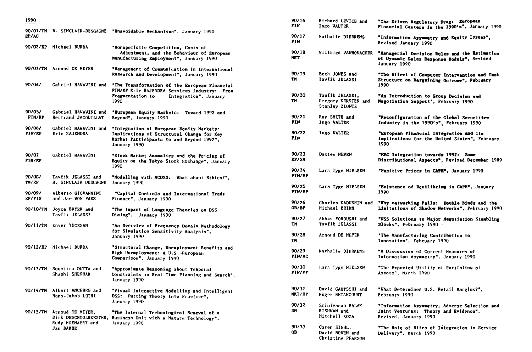|                         |                                                    | 90/01/TH B. SINCLAIR-DESGAGNE "Unavoidable Mechanisus", January 1990                                                                                                    |                        |                                                          |                                                                                                                 |
|-------------------------|----------------------------------------------------|-------------------------------------------------------------------------------------------------------------------------------------------------------------------------|------------------------|----------------------------------------------------------|-----------------------------------------------------------------------------------------------------------------|
| <b>BP/AC</b>            |                                                    |                                                                                                                                                                         | 90/17<br>FIN.          | Nathalie DIERKENS                                        | "Information Asymmetry and Equity Issues",<br>Revised January 1990                                              |
|                         | 90/02/EP Michael BURDA                             | "Monopolistic Competition, Costs of<br>Adjustment, and the Behaviour of European<br>Manufacturing Employment", January 1990                                             | 90/18<br><b>MKT</b>    | <b>Wilfried VANHONACKER</b>                              | "Managerial Decision Rules and the Estimation<br>of Dynamic Sales Response Models", Revised<br>January 1990     |
| 90/04/                  | 90/03/TH Arnoud DE MEYER                           | "Management of Communication in International<br>Research and Development", January 1990                                                                                | 90/19<br>TM            | Beth JONES and<br>Tawfik JELASSI                         | "The Effect of Computer Intervention and Task<br>Structure on Bargaining Outcome", Pebruary<br>1990             |
|                         |                                                    | Gabriel HAVAVINI and "The Transformation of the European Pinancial<br>PIN/EP Eric RAJENDRA Services Industry: Prom<br>Fragmentation to<br>Integration", January<br>1990 | 90/20<br>TH            | Tawfik JELASSI.<br>Gregory KERSTEN and<br>Stanley ZIONTS | "An Introduction to Group Decision and<br>Negotiation Support", Pebruary 1990                                   |
| 90/05/<br><b>PIN/RP</b> | <b>Gabriel HAVAVINI and</b><br>Bertrand JACQUILLAT | "European Equity Markets: Tovard 1992 and<br>Beyond", January 1990                                                                                                      | 90/21<br>FIN           | Roy SMITH and<br>Ingo VALTER                             | "Reconfiguration of the Global Securities<br>Industry in the 1990's", February 1990                             |
| 90/06/<br>PIN/EP        | Gabriel HAVAVINI and<br>Eric RAJENDRA              | "Integration of European Equity Markets:<br>Implications of Structural Change for Key<br>Market Participants to and Beyond 1992".<br>January 1990                       | 90/22<br><b>FIN</b>    | Ingo VALTER                                              | "European Pinancial Integration and Its<br>Implications for the United States", February<br>1990                |
| 90/07<br><b>FIN/RP</b>  | Gabriel HAVAVINI                                   | "Stock Market Anomalies and the Pricing of<br>Equity on the Tokyo Stock Exchange", January<br>1990                                                                      | 90/23<br>EP/SN         | Damien NEVEN                                             | "EEC Integration towards 1992: Some<br>Distributional Aspects", Revised December 1989                           |
| 90/08/<br>TH/RP         | Tavfik JELASSI and<br><b>B. SINCLAIR-DESGAGNE</b>  | "Modelling with MCDSS: What about Ethics?",<br>January 1990                                                                                                             | 90/24<br>PIN/EP        | Lars Tyge NIELSEN                                        | "Positive Prices in CAPN", January 1990                                                                         |
| 90/09/<br>8P/FIN        | Alberto GIOVANNINI<br>and Jae VON PARK             | "Capital Controls and International Trade<br>Finance", January 1990                                                                                                     | 90/25<br><b>FIN/EP</b> | Lars Tyge NIELSEN                                        | "Existence of Equilibrium in CAPM", January<br>1990                                                             |
| 90/10/TH                | Joyce BRYER and<br>Tavfik JELASSI                  | "The Impact of Language Theories on DSS                                                                                                                                 | 90/26<br>OB/BP         | Charles KADUSHIN and<br>Michael BRIMM                    | "Why networking Pails: Double Binds and the<br>Limitations of Shadov Netvorks", Pebruary 1990                   |
|                         | 90/11/TH Enver YUCESAN                             | Dialog", January 1990<br>"An Overview of Frequency Domain Methodology                                                                                                   | 90/27<br>TH.           | Abbas FOROUGHI and<br>Tawfik JELASSI                     | "NSS Solutions to Major Negotiation Stumbling<br>Blocks", February 1990 -                                       |
|                         |                                                    | for Simulation Sensitivity Analysis",<br>January 1990                                                                                                                   | 90/28<br>TM            | Arnoud DE MEYER                                          | "The Manufacturing Contribution to<br>Innovation", February 1990                                                |
|                         | 90/12/EP Michael BURDA                             | "Structural Change, Unemployment Benefits and<br>Bigh Unemployment: A U.S.-European<br>Comparison", January 1990                                                        | 90/29<br><b>PIN/AC</b> | Nathalie DIERKENS                                        | "A Discussion of Correct Measures of<br>Information Asymmetry", January 1990                                    |
| 90/13/TH                | Soumitra DUTTA and<br>Shashi SHEKHAR               | "Approximate Reasoning about Temporal<br>Constraints in Real Time Planning and Search",<br>January 1990                                                                 | 90/30<br>PIN/PP        | Lars Tyge NIELSEN                                        | "The Expected Utility of Portfolios of<br>Assets", March 1990                                                   |
| 90/14/TH                | Albert ANGEHRN and<br>Hans-Jakob LüTHI             | "Visual Interactive Modelling and Intelligent<br>DSS: Putting Theory Into Practice",                                                                                    | 90/31<br><b>NKT/RP</b> | David GAUTSCHI and<br>Roger BETANCOURT                   | "What Determines U.S. Retail Margins?",<br>February 1990                                                        |
| 90/15/TM                | Arnoud DE MEYER,                                   | January 1990<br>"The Internal Technological Reneval of a<br>Dirk DESCHOOLMEESTER, Business Unit with a Mature Technology",                                              | 90/32<br>SN            | Srinivasan BALAK-<br>RISHNAN and<br>Mitchell KOZA        | "Information Asymmetry, Adverse Selection and<br>Joint-Ventures: Theory and Evidence",<br>Revised, January 1990 |
|                         | Rudy MOENAERT and<br>Jan BARBE                     | January 1990                                                                                                                                                            | 90/33<br>OВ            | Caren SIEHL,<br>David BOVEN and<br>Christine PEARSON     | "The Role of Rites of Integration in Service<br>Delivery", March 1990                                           |

| 1990             |                                                   |                                                                                                                                                                        | 90/16<br>7IN.          | Richard LEVICH and<br>Ingo VALTER                        | "Tax-Driven Regulatory Drag: Buropean<br>Financial Centers in the 1990's", January 1990                         |
|------------------|---------------------------------------------------|------------------------------------------------------------------------------------------------------------------------------------------------------------------------|------------------------|----------------------------------------------------------|-----------------------------------------------------------------------------------------------------------------|
| BP/AC            |                                                   | 90/01/TM B. SINCLAIR-DESGAGNE "Unavoidable Mechanisms", January 1990                                                                                                   | 90/17<br>PIN.          | Nathalie DIERKENS                                        | "Information Asymmetry and Bquity Issues",<br>Revised January 1990                                              |
|                  | 90/02/EP Michael BURDA                            | "Monopolistic Competition, Costs of<br>Adjustment, and the Behaviour of European<br>Manufacturing Employment", January 1990                                            | 90/18<br><b>MKT</b>    | Wilfried VANHONACKER                                     | "Managerial Decision Rules and the Batimation<br>of Dynamic Sales Response Models", Revised<br>January 1990     |
|                  | 90/03/TH Arnoud DE MEYER                          | "Management of Communication in International<br>Research and Development", January 1990                                                                               | 90/19<br>TM            | Beth JONES and<br>Tawfik JELASSI                         | "The Effect of Computer Intervention and Task<br>Structure on Bargaining Outcome", Pebruary                     |
| 90/04/           | Gabriel HAVAVINI and                              | "The Transformation of the European Pinancial<br>PIN/EP Eric RAJENDRA Services Industry: From                                                                          |                        |                                                          | 1990                                                                                                            |
|                  |                                                   | Pragmentation to<br>Integration", January<br>1990                                                                                                                      | 90/20<br>TH            | Tawfik JELASSI,<br>Gregory KERSTEN and<br>Stanley ZIONTS | "An Introduction to Group Decision and<br>Negotiation Support", Pebruary 1990                                   |
| 90/05/<br>PIN/RP | Gabriel HAVAVINI and<br>Bertrand JACQUILLAT       | "European Equity Markets: Toward 1992 and<br>Beyond", January 1990                                                                                                     | 90/21<br><b>FIN</b>    | Roy SMITH and<br>Ingo VALTER                             | "Reconfiguration of the Global Securities<br>Industry in the 1990's", Pebruary 1990                             |
| 90/06/<br>PIN/EP | Eric RAJENDRA                                     | Gabriel HAVAVINI and "Integration of European Equity Markets:<br>Implications of Structural Change for Key<br>Market Participants to and Beyond 1992",<br>January 1990 | 90/22<br><b>FIN</b>    | Ingo WALTER                                              | "European Pinancial Integration and Its<br>Implications for the United States", February<br>1990                |
| 90/07<br>PIN/RP  | Gabriel HAVAVINI                                  | "Stock Market Anomalies and the Pricing of<br>Equity on the Tokyo Stock Exchange", January<br>1990                                                                     | 90/23<br>EP/SM         | Damien NEVEN                                             | "EEC Integration towards 1992: Some<br>Distributional Aspects", Revised December 1989                           |
| 90/08/<br>TM/RP  | Tavfik JELASSI and<br><b>B. SINCLAIR-DESGAGNE</b> | "Modelling with MCDSS: What about Ethics?",<br>January 1990                                                                                                            | 90/24<br>PIN/EP        | Lars Tyge NIELSEN                                        | "Positive Prices in CAPN", January 1990                                                                         |
| 90/09/<br>BP/PIN | Alberto GIOVANNINI<br>and Jae VON PARK            | "Capital Controls and International Trade<br>Finance", January 1990                                                                                                    | 90/25<br><b>FIN/EP</b> | Lars Tyge NIELSEN                                        | "Existence of Equilibrium in CAPM", January<br>1990                                                             |
| 90/10/TH         | Joyce BRYER and<br>Tavfik JELASSI                 | "The Impact of Language Theories on DSS<br>Dialog", January 1990                                                                                                       | 90/26<br>OB/BP         | Charles KADUSHIN and<br>Michael BRIMM                    | "Why networking Pails: Double Binds and the<br>Limitations of Shadow Networks", Pebruary 1990                   |
|                  | 90/11/TM Enver YUCESAN                            | "An Overview of Prequency Domain Methodology                                                                                                                           | 90/27<br>TH.           | Abbas FOROUGHI and<br>Tawfik JELASSI                     | "NSS Solutions to Major Negotiation Stumbling<br>Blocks", February 1990                                         |
|                  |                                                   | for Simulation Sensitivity Analysis",<br>January 1990                                                                                                                  | 90/28<br>TM            | Arnoud DE MEYER                                          | "The Manufacturing Contribution to<br>Innovation", February 1990                                                |
|                  | 9O/12/BP – Michael BURDA                          | "Structural Change, Unemployment Benefits and<br>Bigh Unemployment: A U.S.-European<br>Comparison", January 1990                                                       | 90/29<br><b>PIN/AC</b> | Nathalie DIERKENS                                        | "A Discussion of Correct Measures of<br>Information Asymmetry", January 1990                                    |
|                  | 90/13/TM – Soumitra DUTTA and<br>Shashi SHEKHAR   | "Approximate Reasoning about Temporal<br>Constraints in Real Time Planning and Search".<br>January 1990                                                                | 90/30<br>PIN/PP        | Lars Tyge NIELSEN                                        | <b>"The Expected Utility of Portfolios of</b><br>Assets", March 1990                                            |
|                  | 90/14/TM Albert ANGEHRN and<br>Hans-Jakob LüTHI   | "Visual Interactive Modelling and Intelligent<br>DSS: Putting Theory Into Practice".<br>January 1990                                                                   | 90/31<br><b>NKT/RP</b> | David GAUTSCHI and<br>Roger BETANCOURT                   | "What Determines U.S. Retail Margins?",<br>February 1990                                                        |
| 90/15/ <b>TN</b> | Arnoud DE MEYER,                                  | "The Internal Technological Reneval of a<br>Dirk DESCHOOLMEESTER, Business Unit with a Mature Technology",                                                             | 90/32<br>SH            | Srinivasan BALAK-<br>RISHNAN and<br>Mitchell KOZA        | "Information Asymmetry, Adverse Selection and<br>Joint-Ventures: Theory and Evidence",<br>Revised, January 1990 |
|                  | Rudy MOENAERT and<br>Jan BARBE                    | January 1990                                                                                                                                                           | 90/33<br>0B.           | Caren SIEHL.<br>David BOVEN and<br>Christine PEARSON     | "The Role of Rites of Integration in Service<br>Delivery", March 1990                                           |